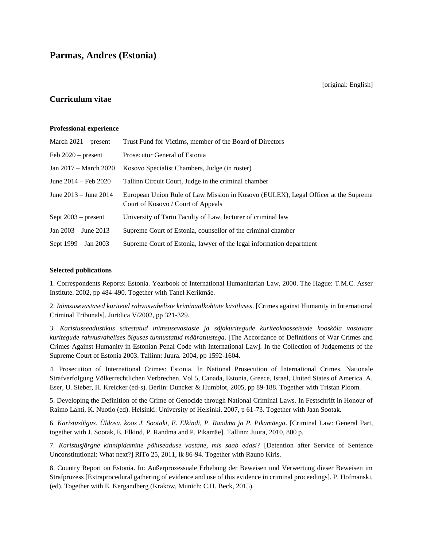[original: English]

# **Curriculum vitae**

#### **Professional experience**

| March $2021$ – present         | Trust Fund for Victims, member of the Board of Directors                                                                 |
|--------------------------------|--------------------------------------------------------------------------------------------------------------------------|
| Feb $2020$ – present           | Prosecutor General of Estonia                                                                                            |
| Jan 2017 – March 2020          | Kosovo Specialist Chambers, Judge (in roster)                                                                            |
| June $2014 - \text{Feb } 2020$ | Tallinn Circuit Court, Judge in the criminal chamber                                                                     |
| June $2013 -$ June $2014$      | European Union Rule of Law Mission in Kosovo (EULEX), Legal Officer at the Supreme<br>Court of Kosovo / Court of Appeals |
| Sept $2003$ – present          | University of Tartu Faculty of Law, lecturer of criminal law                                                             |
| Jan $2003 -$ June $2013$       | Supreme Court of Estonia, counsellor of the criminal chamber                                                             |
| Sept 1999 – Jan 2003           | Supreme Court of Estonia, lawyer of the legal information department                                                     |

#### **Selected publications**

1. Correspondents Reports: Estonia. Yearbook of International Humanitarian Law, 2000. The Hague: T.M.C. Asser Institute. 2002, pp 484-490. Together with Tanel Kerikmäe.

2. *Inimsusevastased kuriteod rahvusvaheliste kriminaalkohtute käsitluses*. [Crimes against Humanity in International Criminal Tribunals]. Juridica V/2002, pp 321-329.

3. *Karistusseadustikus sätestatud inimsusevastaste ja sõjakuritegude kuriteokoosseisude kooskõla vastavate kuritegude rahvusvahelises õiguses tunnustatud määratlustega*. [The Accordance of Definitions of War Crimes and Crimes Against Humanity in Estonian Penal Code with International Law]. In the Collection of Judgements of the Supreme Court of Estonia 2003. Tallinn: Juura. 2004, pp 1592-1604.

4. Prosecution of International Crimes: Estonia. In National Prosecution of International Crimes. Nationale Strafverfolgung Völkerrechtlichen Verbrechen. Vol 5, Canada, Estonia, Greece, Israel, United States of America. A. Eser, U. Sieber, H. Kreicker (ed-s). Berlin: Duncker & Humblot, 2005, pp 89-188. Together with Tristan Ploom.

5. Developing the Definition of the Crime of Genocide through National Criminal Laws. In Festschrift in Honour of Raimo Lahti, K. Nuotio (ed). Helsinki: University of Helsinki. 2007, p 61-73. Together with Jaan Sootak.

6. *Karistusõigus. Üldosa, koos J. Sootaki, E. Elkindi, P. Randma ja P. Pikamäega*. [Criminal Law: General Part, together with J. Sootak, E. Elkind, P. Randma and P. Pikamäe]. Tallinn: Juura, 2010, 800 p.

7. *Karistusjärgne kinnipidamine põhiseaduse vastane, mis saab edasi?* [Detention after Service of Sentence Unconstitutional: What next?] RiTo 25, 2011, lk 86-94. Together with Rauno Kiris.

8. Country Report on Estonia. In: Außerprozessuale Erhebung der Beweisen und Verwertung dieser Beweisen im Strafprozess [Extraprocedural gathering of evidence and use of this evidence in criminal proceedings]. P. Hofmanski, (ed). Together with E. Kergandberg (Krakow, Munich: C.H. Beck, 2015).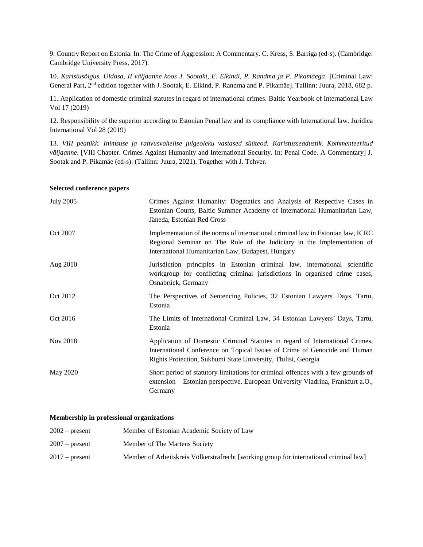9. Country Report on Estonia. In: The Crime of Aggression: A Commentary. C. Kress, S. Barriga (ed-s). (Cambridge: Cambridge University Press, 2017).

10. *Karistusõigus. Üldosa, II väljaanne koos J. Sootaki, E. Elkindi, P. Randma ja P. Pikamäega*. [Criminal Law: General Part, 2<sup>nd</sup> edition together with J. Sootak, E. Elkind, P. Randma and P. Pikamäe]. Tallinn: Juura, 2018, 682 p.

11. Application of domestic criminal statutes in regard of international crimes. Baltic Yearbook of International Law Vol 17 (2019)

12. Responsibility of the superior according to Estonian Penal law and its compliance with International law. Juridica International Vol 28 (2019)

13. *VIII peatükk. Inimsuse ja rahvusvahelise julgeoleku vastased süüteod. Karistusseadustik. Kommenteeritud väljaanne*. [VIII Chapter. Crimes Against Humanity and International Security. In: Penal Code. A Commentary] J. Sootak and P. Pikamäe (ed-s). (Tallinn: Juura, 2021). Together with J. Tehver.

#### **Selected conference papers**

| <b>July 2005</b> | Crimes Against Humanity: Dogmatics and Analysis of Respective Cases in<br>Estonian Courts, Baltic Summer Academy of International Humanitarian Law,<br>Jäneda, Estonian Red Cross                                          |
|------------------|----------------------------------------------------------------------------------------------------------------------------------------------------------------------------------------------------------------------------|
| Oct 2007         | Implementation of the norms of international criminal law in Estonian law, ICRC<br>Regional Seminar on The Role of the Judiciary in the Implementation of<br>International Humanitarian Law, Budapest, Hungary             |
| Aug 2010         | Jurisdiction principles in Estonian criminal law, international scientific<br>workgroup for conflicting criminal jurisdictions in organised crime cases,<br>Osnabrück, Germany                                             |
| Oct 2012         | The Perspectives of Sentencing Policies, 32 Estonian Lawyers' Days, Tartu,<br>Estonia                                                                                                                                      |
| Oct 2016         | The Limits of International Criminal Law, 34 Estonian Lawyers' Days, Tartu,<br>Estonia                                                                                                                                     |
| Nov 2018         | Application of Domestic Criminal Statutes in regard of International Crimes,<br>International Conference on Topical Issues of Crime of Genocide and Human<br>Rights Protection, Sukhumi State University, Tbilisi, Georgia |
| May 2020         | Short period of statutory limitations for criminal offences with a few grounds of<br>extension – Estonian perspective, European University Viadrina, Frankfurt a.O.,<br>Germany                                            |

#### **Membership in professional organizations**

| $2002$ – present | Member of Estonian Academic Society of Law                                             |
|------------------|----------------------------------------------------------------------------------------|
| $2007$ – present | Member of The Martens Society                                                          |
| $2017$ – present | Member of Arbeitskreis Völkerstrafrecht [working group for international criminal law] |